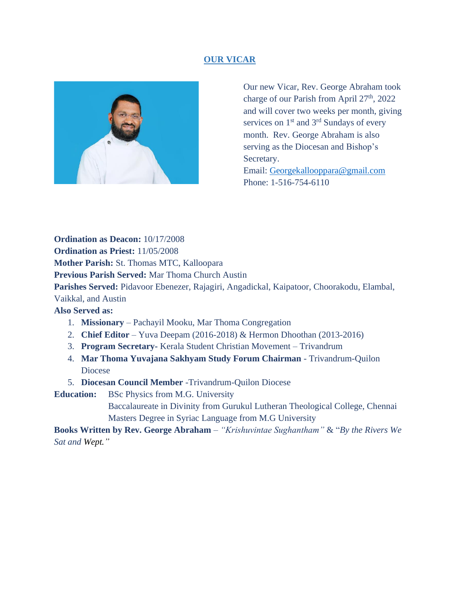## **OUR VICAR**



Our new Vicar, Rev. George Abraham took charge of our Parish from April  $27<sup>th</sup>$ , 2022 and will cover two weeks per month, giving services on  $1<sup>st</sup>$  and  $3<sup>rd</sup>$  Sundays of every month. Rev. George Abraham is also serving as the Diocesan and Bishop's Secretary.

Email: [Georgekallooppara@gmail.com](mailto:Georgekallooppara@gmail.com) Phone: 1-516-754-6110

**Ordination as Deacon:** 10/17/2008 **Ordination as Priest:** 11/05/2008 **Mother Parish:** St. Thomas MTC, Kalloopara **Previous Parish Served:** Mar Thoma Church Austin **Parishes Served:** Pidavoor Ebenezer, Rajagiri, Angadickal, Kaipatoor, Choorakodu, Elambal, Vaikkal, and Austin

## **Also Served as:**

- 1. **Missionary** Pachayil Mooku, Mar Thoma Congregation
- 2. **Chief Editor** Yuva Deepam (2016-2018) & Hermon Dhoothan (2013-2016)
- 3. **Program Secretary-** Kerala Student Christian Movement Trivandrum
- 4. **Mar Thoma Yuvajana Sakhyam Study Forum Chairman** Trivandrum-Quilon Diocese
- 5. **Diocesan Council Member** -Trivandrum-Quilon Diocese

**Education:** BSc Physics from M.G. University

Baccalaureate in Divinity from Gurukul Lutheran Theological College, Chennai Masters Degree in Syriac Language from M.G University

**Books Written by Rev. George Abraham** – *"Krishuvintae Sughantham"* & "*By the Rivers We Sat and Wept."*